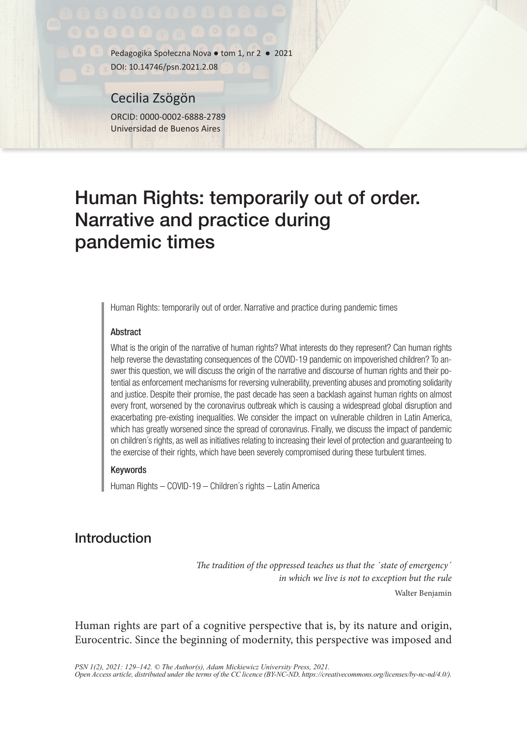Pedagogika Społeczna Nova ● tom 1, nr 2 ● 2021

DOI: 10.14746/psn.2021.2.08

Cecilia Zsögön ORCID: 0000-0002-6888-2789 Universidad de Buenos Aires

# Human Rights: temporarily out of order. Narrative and practice during pandemic times

Human Rights: temporarily out of order. Narrative and practice during pandemic times

#### **Abstract**

What is the origin of the narrative of human rights? What interests do they represent? Can human rights help reverse the devastating consequences of the COVID-19 pandemic on impoverished children? To answer this question, we will discuss the origin of the narrative and discourse of human rights and their potential as enforcement mechanisms for reversing vulnerability, preventing abuses and promoting solidarity and justice. Despite their promise, the past decade has seen a backlash against human rights on almost every front, worsened by the coronavirus outbreak which is causing a widespread global disruption and exacerbating pre-existing inequalities. We consider the impact on vulnerable children in Latin America, which has greatly worsened since the spread of coronavirus. Finally, we discuss the impact of pandemic on children´s rights, as well as initiatives relating to increasing their level of protection and guaranteeing to the exercise of their rights, which have been severely compromised during these turbulent times.

#### Keywords

Human Rights – COVID-19 – Children´s rights – Latin America

## Introduction

*The tradition of the oppressed teaches us that the ´state of emergency´ in which we live is not to exception but the rule* Walter Benjamin

Human rights are part of a cognitive perspective that is, by its nature and origin, Eurocentric. Since the beginning of modernity, this perspective was imposed and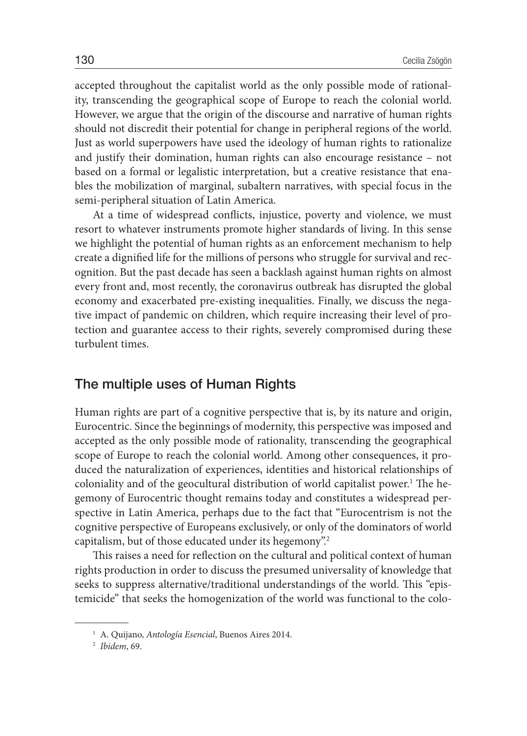accepted throughout the capitalist world as the only possible mode of rationality, transcending the geographical scope of Europe to reach the colonial world. However, we argue that the origin of the discourse and narrative of human rights should not discredit their potential for change in peripheral regions of the world. Just as world superpowers have used the ideology of human rights to rationalize and justify their domination, human rights can also encourage resistance – not based on a formal or legalistic interpretation, but a creative resistance that enables the mobilization of marginal, subaltern narratives, with special focus in the semi-peripheral situation of Latin America.

At a time of widespread conflicts, injustice, poverty and violence, we must resort to whatever instruments promote higher standards of living. In this sense we highlight the potential of human rights as an enforcement mechanism to help create a dignified life for the millions of persons who struggle for survival and recognition. But the past decade has seen a backlash against human rights on almost every front and, most recently, the coronavirus outbreak has disrupted the global economy and exacerbated pre-existing inequalities. Finally, we discuss the negative impact of pandemic on children, which require increasing their level of protection and guarantee access to their rights, severely compromised during these turbulent times.

#### The multiple uses of Human Rights

Human rights are part of a cognitive perspective that is, by its nature and origin, Eurocentric. Since the beginnings of modernity, this perspective was imposed and accepted as the only possible mode of rationality, transcending the geographical scope of Europe to reach the colonial world. Among other consequences, it produced the naturalization of experiences, identities and historical relationships of coloniality and of the geocultural distribution of world capitalist power.<sup>1</sup> The hegemony of Eurocentric thought remains today and constitutes a widespread perspective in Latin America, perhaps due to the fact that "Eurocentrism is not the cognitive perspective of Europeans exclusively, or only of the dominators of world capitalism, but of those educated under its hegemony".<sup>2</sup>

This raises a need for reflection on the cultural and political context of human rights production in order to discuss the presumed universality of knowledge that seeks to suppress alternative/traditional understandings of the world. This "epistemicide" that seeks the homogenization of the world was functional to the colo-

<sup>1</sup> A. Quijano, *Antología Esencial*, Buenos Aires 2014. 2 *Ibidem*, 69.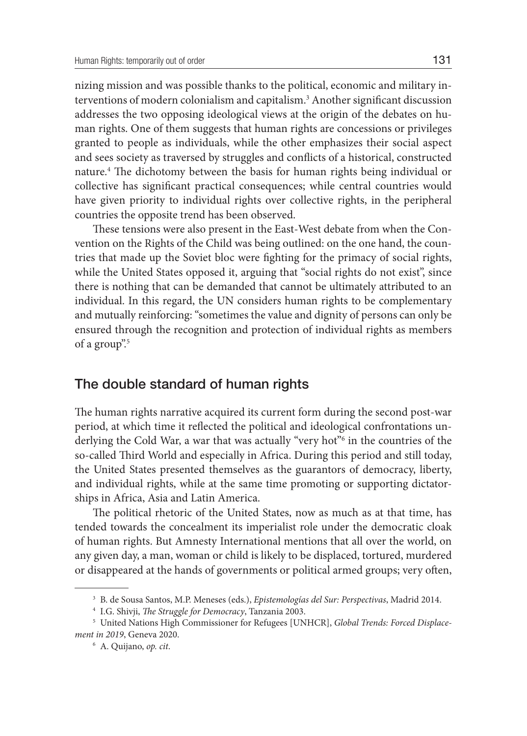nizing mission and was possible thanks to the political, economic and military interventions of modern colonialism and capitalism.3 Another significant discussion addresses the two opposing ideological views at the origin of the debates on human rights. One of them suggests that human rights are concessions or privileges granted to people as individuals, while the other emphasizes their social aspect and sees society as traversed by struggles and conflicts of a historical, constructed nature.4 The dichotomy between the basis for human rights being individual or collective has significant practical consequences; while central countries would have given priority to individual rights over collective rights, in the peripheral countries the opposite trend has been observed.

These tensions were also present in the East-West debate from when the Convention on the Rights of the Child was being outlined: on the one hand, the countries that made up the Soviet bloc were fighting for the primacy of social rights, while the United States opposed it, arguing that "social rights do not exist", since there is nothing that can be demanded that cannot be ultimately attributed to an individual. In this regard, the UN considers human rights to be complementary and mutually reinforcing: "sometimes the value and dignity of persons can only be ensured through the recognition and protection of individual rights as members of a group".5

#### The double standard of human rights

The human rights narrative acquired its current form during the second post-war period, at which time it reflected the political and ideological confrontations underlying the Cold War, a war that was actually "very hot"6 in the countries of the so-called Third World and especially in Africa. During this period and still today, the United States presented themselves as the guarantors of democracy, liberty, and individual rights, while at the same time promoting or supporting dictatorships in Africa, Asia and Latin America.

The political rhetoric of the United States, now as much as at that time, has tended towards the concealment its imperialist role under the democratic cloak of human rights. But Amnesty International mentions that all over the world, on any given day, a man, woman or child is likely to be displaced, tortured, murdered or disappeared at the hands of governments or political armed groups; very often,

<sup>3</sup> B. de Sousa Santos, M.P. Meneses (eds.), *Epistemologías del Sur: Perspectivas*, Madrid 2014.

<sup>&</sup>lt;sup>4</sup> I.G. Shivji, *The Struggle for Democracy*, Tanzania 2003.<br><sup>5</sup> United Nations High Commissioner for Refugees [UNHCR], *Global Trends: Forced Displacement in 2019*, Geneva 2020. 6 A. Quijano, *op. cit*.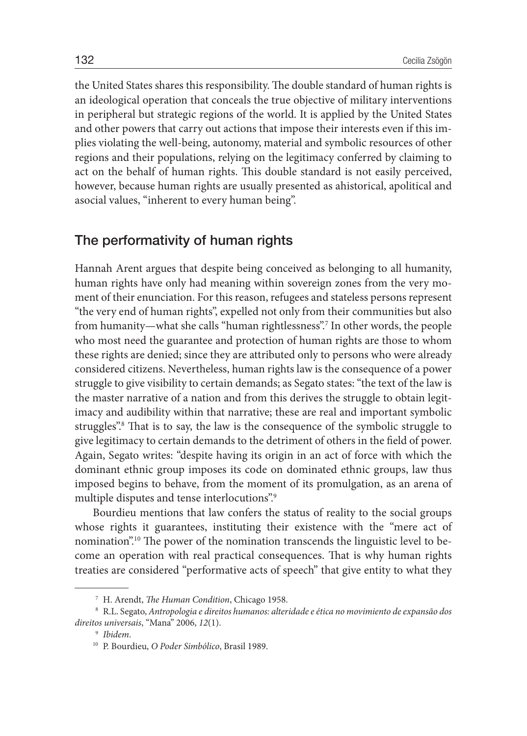the United States shares this responsibility. The double standard of human rights is an ideological operation that conceals the true objective of military interventions in peripheral but strategic regions of the world. It is applied by the United States and other powers that carry out actions that impose their interests even if this implies violating the well-being, autonomy, material and symbolic resources of other regions and their populations, relying on the legitimacy conferred by claiming to act on the behalf of human rights. This double standard is not easily perceived, however, because human rights are usually presented as ahistorical, apolitical and asocial values, "inherent to every human being".

#### The performativity of human rights

Hannah Arent argues that despite being conceived as belonging to all humanity, human rights have only had meaning within sovereign zones from the very moment of their enunciation. For this reason, refugees and stateless persons represent "the very end of human rights", expelled not only from their communities but also from humanity—what she calls "human rightlessness".7 In other words, the people who most need the guarantee and protection of human rights are those to whom these rights are denied; since they are attributed only to persons who were already considered citizens. Nevertheless, human rights law is the consequence of a power struggle to give visibility to certain demands; as Segato states: "the text of the law is the master narrative of a nation and from this derives the struggle to obtain legitimacy and audibility within that narrative; these are real and important symbolic struggles".8 That is to say, the law is the consequence of the symbolic struggle to give legitimacy to certain demands to the detriment of others in the field of power. Again, Segato writes: "despite having its origin in an act of force with which the dominant ethnic group imposes its code on dominated ethnic groups, law thus imposed begins to behave, from the moment of its promulgation, as an arena of multiple disputes and tense interlocutions".<sup>9</sup>

Bourdieu mentions that law confers the status of reality to the social groups whose rights it guarantees, instituting their existence with the "mere act of nomination".10 The power of the nomination transcends the linguistic level to become an operation with real practical consequences. That is why human rights treaties are considered "performative acts of speech" that give entity to what they

<sup>7</sup> H. Arendt, *The Human Condition*, Chicago 1958.

<sup>8</sup> R.L. Segato, *Antropologia e direitos humanos: alteridade e ética no movimiento de expansão dos direitos universais*, "Mana" 2006, *12*(1).

<sup>9</sup> *Ibidem*. 10 P. Bourdieu, *O Poder Simbólico*, Brasil 1989.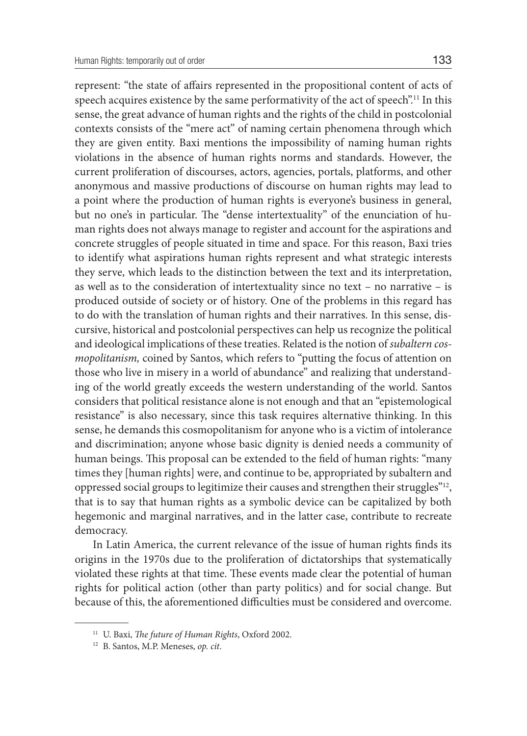represent: "the state of affairs represented in the propositional content of acts of speech acquires existence by the same performativity of the act of speech".<sup>11</sup> In this sense, the great advance of human rights and the rights of the child in postcolonial contexts consists of the "mere act" of naming certain phenomena through which they are given entity. Baxi mentions the impossibility of naming human rights violations in the absence of human rights norms and standards. However, the current proliferation of discourses, actors, agencies, portals, platforms, and other anonymous and massive productions of discourse on human rights may lead to a point where the production of human rights is everyone's business in general, but no one's in particular. The "dense intertextuality" of the enunciation of human rights does not always manage to register and account for the aspirations and concrete struggles of people situated in time and space. For this reason, Baxi tries to identify what aspirations human rights represent and what strategic interests they serve, which leads to the distinction between the text and its interpretation, as well as to the consideration of intertextuality since no text – no narrative – is produced outside of society or of history. One of the problems in this regard has to do with the translation of human rights and their narratives. In this sense, discursive, historical and postcolonial perspectives can help us recognize the political and ideological implications of these treaties. Related is the notion of *subaltern cosmopolitanism,* coined by Santos, which refers to "putting the focus of attention on those who live in misery in a world of abundance" and realizing that understanding of the world greatly exceeds the western understanding of the world. Santos considers that political resistance alone is not enough and that an "epistemological resistance" is also necessary, since this task requires alternative thinking. In this sense, he demands this cosmopolitanism for anyone who is a victim of intolerance and discrimination; anyone whose basic dignity is denied needs a community of human beings. This proposal can be extended to the field of human rights: "many times they [human rights] were, and continue to be, appropriated by subaltern and oppressed social groups to legitimize their causes and strengthen their struggles"12, that is to say that human rights as a symbolic device can be capitalized by both hegemonic and marginal narratives, and in the latter case, contribute to recreate democracy.

In Latin America, the current relevance of the issue of human rights finds its origins in the 1970s due to the proliferation of dictatorships that systematically violated these rights at that time. These events made clear the potential of human rights for political action (other than party politics) and for social change. But because of this, the aforementioned difficulties must be considered and overcome.

<sup>11</sup> U. Baxi, *The future of Human Rights*, Oxford 2002. 12 B. Santos, M.P. Meneses, *op. cit*.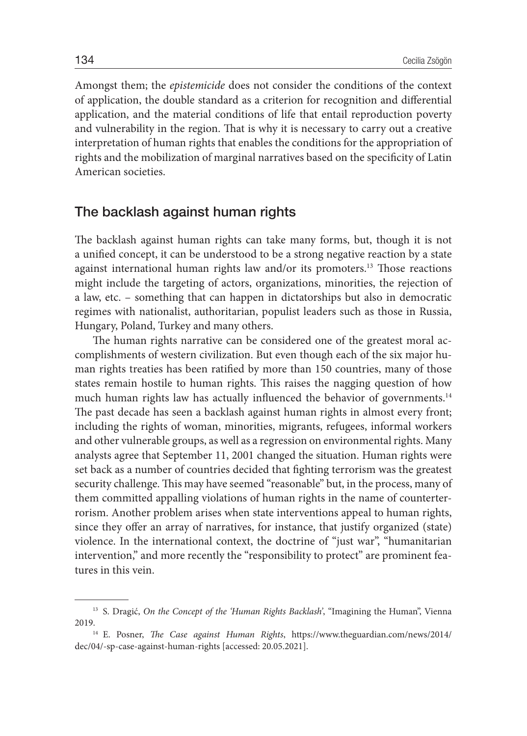Amongst them; the *epistemicide* does not consider the conditions of the context of application, the double standard as a criterion for recognition and differential application, and the material conditions of life that entail reproduction poverty and vulnerability in the region. That is why it is necessary to carry out a creative interpretation of human rights that enables the conditions for the appropriation of rights and the mobilization of marginal narratives based on the specificity of Latin American societies.

#### The backlash against human rights

The backlash against human rights can take many forms, but, though it is not a unified concept, it can be understood to be a strong negative reaction by a state against international human rights law and/or its promoters.13 Those reactions might include the targeting of actors, organizations, minorities, the rejection of a law, etc. – something that can happen in dictatorships but also in democratic regimes with nationalist, authoritarian, populist leaders such as those in Russia, Hungary, Poland, Turkey and many others.

The human rights narrative can be considered one of the greatest moral accomplishments of western civilization. But even though each of the six major human rights treaties has been ratified by more than 150 countries, many of those states remain hostile to human rights. This raises the nagging question of how much human rights law has actually influenced the behavior of governments.<sup>14</sup> The past decade has seen a backlash against human rights in almost every front; including the rights of woman, minorities, migrants, refugees, informal workers and other vulnerable groups, as well as a regression on environmental rights. Many analysts agree that September 11, 2001 changed the situation. Human rights were set back as a number of countries decided that fighting terrorism was the greatest security challenge. This may have seemed "reasonable" but, in the process, many of them committed appalling violations of human rights in the name of counterterrorism. Another problem arises when state interventions appeal to human rights, since they offer an array of narratives, for instance, that justify organized (state) violence. In the international context, the doctrine of "just war", "humanitarian intervention," and more recently the "responsibility to protect" are prominent features in this vein.

<sup>13</sup> S. Dragić, *On the Concept of the 'Human Rights Backlash'*, "Imagining the Human", Vienna 2019.

<sup>14</sup> E. Posner, *The Case against Human Rights*, https://www.theguardian.com/news/2014/ dec/04/-sp-case-against-human-rights [accessed: 20.05.2021].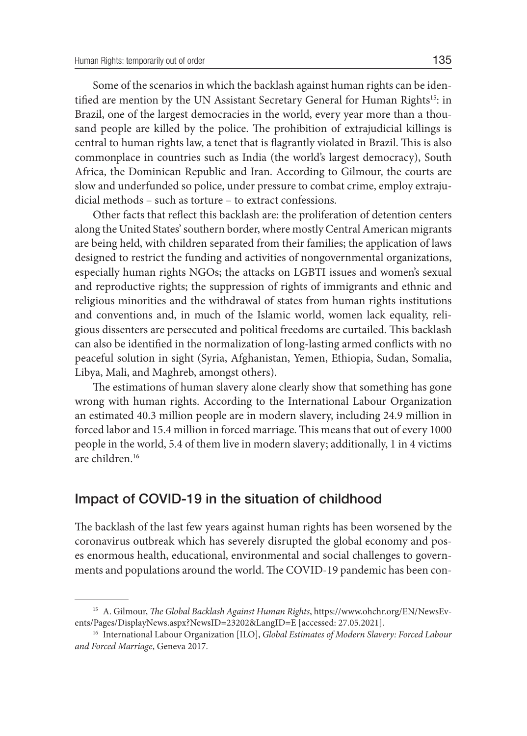Some of the scenarios in which the backlash against human rights can be identified are mention by the UN Assistant Secretary General for Human Rights<sup>15</sup>: in Brazil, one of the largest democracies in the world, every year more than a thousand people are killed by the police. The prohibition of extrajudicial killings is central to human rights law, a tenet that is flagrantly violated in Brazil. This is also commonplace in countries such as India (the world's largest democracy), South Africa, the Dominican Republic and Iran. According to Gilmour, the courts are slow and underfunded so police, under pressure to combat crime, employ extrajudicial methods – such as torture – to extract confessions.

Other facts that reflect this backlash are: the proliferation of detention centers along the United States' southern border, where mostly Central American migrants are being held, with children separated from their families; the application of laws designed to restrict the funding and activities of nongovernmental organizations, especially human rights NGOs; the attacks on LGBTI issues and women's sexual and reproductive rights; the suppression of rights of immigrants and ethnic and religious minorities and the withdrawal of states from human rights institutions and conventions and, in much of the Islamic world, women lack equality, religious dissenters are persecuted and political freedoms are curtailed. This backlash can also be identified in the normalization of long-lasting armed conflicts with no peaceful solution in sight (Syria, Afghanistan, Yemen, Ethiopia, Sudan, Somalia, Libya, Mali, and Maghreb, amongst others).

The estimations of human slavery alone clearly show that something has gone wrong with human rights. According to the International Labour Organization an estimated 40.3 million people are in modern slavery, including 24.9 million in forced labor and 15.4 million in forced marriage. This means that out of every 1000 people in the world, 5.4 of them live in modern slavery; additionally, 1 in 4 victims are children.16

#### Impact of COVID-19 in the situation of childhood

The backlash of the last few years against human rights has been worsened by the coronavirus outbreak which has severely disrupted the global economy and poses enormous health, educational, environmental and social challenges to governments and populations around the world. The COVID-19 pandemic has been con-

<sup>15</sup> A. Gilmour, *The Global Backlash Against Human Rights*, https://www.ohchr.org/EN/NewsEvents/Pages/DisplayNews.aspx?NewsID=23202&LangID=E [accessed: 27.05.2021].

<sup>16</sup> International Labour Organization [ILO], *Global Estimates of Modern Slavery: Forced Labour and Forced Marriage*, Geneva 2017.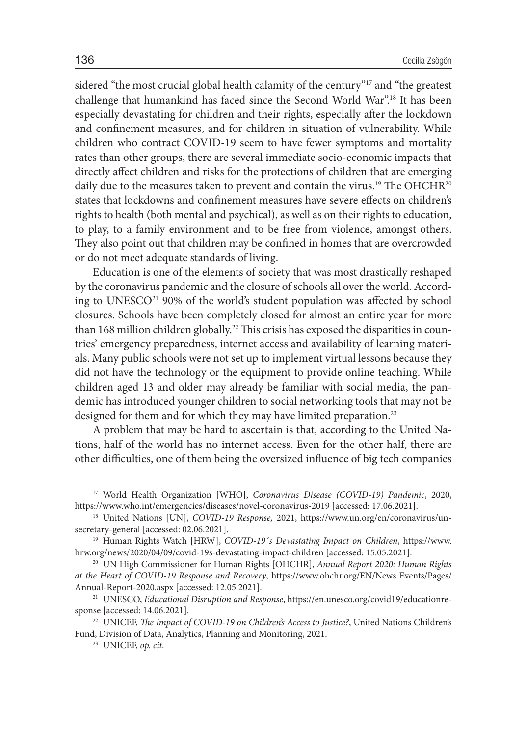sidered "the most crucial global health calamity of the century"<sup>17</sup> and "the greatest challenge that humankind has faced since the Second World War".18 It has been especially devastating for children and their rights, especially after the lockdown and confinement measures, and for children in situation of vulnerability. While children who contract COVID-19 seem to have fewer symptoms and mortality rates than other groups, there are several immediate socio-economic impacts that directly affect children and risks for the protections of children that are emerging daily due to the measures taken to prevent and contain the virus.<sup>19</sup> The OHCHR<sup>20</sup> states that lockdowns and confinement measures have severe effects on children's rights to health (both mental and psychical), as well as on their rights to education, to play, to a family environment and to be free from violence, amongst others. They also point out that children may be confined in homes that are overcrowded or do not meet adequate standards of living.

Education is one of the elements of society that was most drastically reshaped by the coronavirus pandemic and the closure of schools all over the world. According to UNESCO<sup>21</sup> 90% of the world's student population was affected by school closures. Schools have been completely closed for almost an entire year for more than 168 million children globally.<sup>22</sup> This crisis has exposed the disparities in countries' emergency preparedness, internet access and availability of learning materials. Many public schools were not set up to implement virtual lessons because they did not have the technology or the equipment to provide online teaching. While children aged 13 and older may already be familiar with social media, the pandemic has introduced younger children to social networking tools that may not be designed for them and for which they may have limited preparation.<sup>23</sup>

A problem that may be hard to ascertain is that, according to the United Nations, half of the world has no internet access. Even for the other half, there are other difficulties, one of them being the oversized influence of big tech companies

<sup>17</sup> World Health Organization [WHO], *Coronavirus Disease (COVID-19) Pandemic*, 2020, https://www.who.int/emergencies/diseases/novel-coronavirus-2019 [accessed: 17.06.2021].

<sup>18</sup> United Nations [UN], *COVID-19 Response,* 2021, https://www.un.org/en/coronavirus/unsecretary-general [accessed: 02.06.2021].

<sup>19</sup> Human Rights Watch [HRW], *COVID-19´s Devastating Impact on Children*, https://www. hrw.org/news/2020/04/09/covid-19s-devastating-impact-children [accessed: 15.05.2021].

<sup>20</sup> UN High Commissioner for Human Rights [OHCHR], *Annual Report 2020: Human Rights at the Heart of COVID-19 Response and Recovery*, https://www.ohchr.org/EN/News Events/Pages/ Annual-Report-2020.aspx [accessed: 12.05.2021].

<sup>21</sup> UNESCO, *Educational Disruption and Response*, https://en.unesco.org/covid19/educationresponse [accessed: 14.06.2021].

<sup>&</sup>lt;sup>22</sup> UNICEF, *The Impact of COVID-19 on Children's Access to Justice?*, United Nations Children's Fund, Division of Data, Analytics, Planning and Monitoring, 2021.

<sup>23</sup> UNICEF, *op. cit*.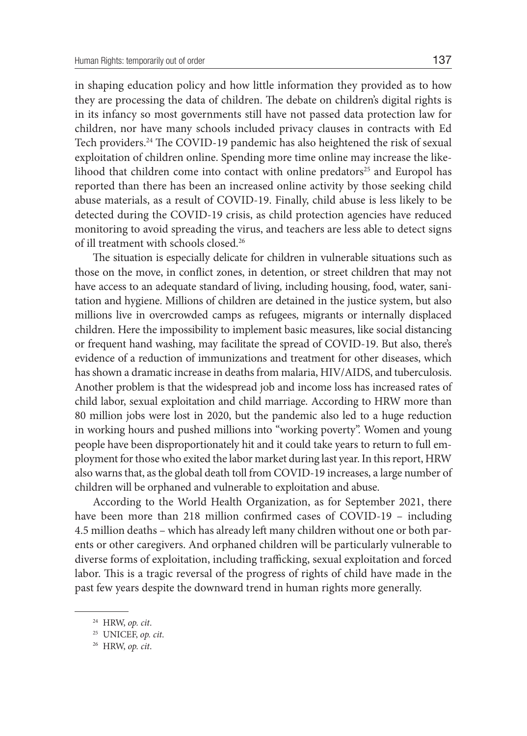in shaping education policy and how little information they provided as to how they are processing the data of children. The debate on children's digital rights is in its infancy so most governments still have not passed data protection law for children, nor have many schools included privacy clauses in contracts with Ed Tech providers.24 The COVID-19 pandemic has also heightened the risk of sexual exploitation of children online. Spending more time online may increase the likelihood that children come into contact with online predators $25$  and Europol has reported than there has been an increased online activity by those seeking child abuse materials, as a result of COVID-19. Finally, child abuse is less likely to be detected during the COVID-19 crisis, as child protection agencies have reduced monitoring to avoid spreading the virus, and teachers are less able to detect signs of ill treatment with schools closed.26

The situation is especially delicate for children in vulnerable situations such as those on the move, in conflict zones, in detention, or street children that may not have access to an adequate standard of living, including housing, food, water, sanitation and hygiene. Millions of children are detained in the justice system, but also millions live in overcrowded camps as refugees, migrants or internally displaced children. Here the impossibility to implement basic measures, like social distancing or frequent hand washing, may facilitate the spread of COVID-19. But also, there's evidence of a reduction of immunizations and treatment for other diseases, which has shown a dramatic increase in deaths from malaria, HIV/AIDS, and tuberculosis. Another problem is that the widespread job and income loss has increased rates of child labor, sexual exploitation and child marriage. According to HRW more than 80 million jobs were lost in 2020, but the pandemic also led to a huge reduction in working hours and pushed millions into "working poverty". Women and young people have been disproportionately hit and it could take years to return to full employment for those who exited the labor market during last year. In this report, HRW also warns that, as the global death toll from COVID-19 increases, a large number of children will be orphaned and vulnerable to exploitation and abuse.

According to the World Health Organization, as for September 2021, there have been more than 218 million confirmed cases of COVID-19 – including 4.5 million deaths – which has already left many children without one or both parents or other caregivers. And orphaned children will be particularly vulnerable to diverse forms of exploitation, including trafficking, sexual exploitation and forced labor. This is a tragic reversal of the progress of rights of child have made in the past few years despite the downward trend in human rights more generally.

<sup>24</sup> HRW, *op. cit*.

<sup>25</sup> UNICEF, *op. cit*.

<sup>26</sup> HRW, *op. cit*.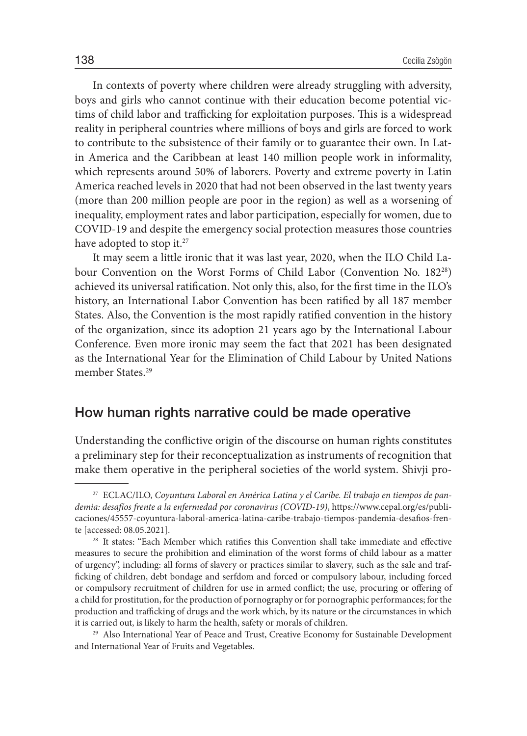In contexts of poverty where children were already struggling with adversity, boys and girls who cannot continue with their education become potential victims of child labor and trafficking for exploitation purposes. This is a widespread reality in peripheral countries where millions of boys and girls are forced to work to contribute to the subsistence of their family or to guarantee their own. In Latin America and the Caribbean at least 140 million people work in informality, which represents around 50% of laborers. Poverty and extreme poverty in Latin America reached levels in 2020 that had not been observed in the last twenty years (more than 200 million people are poor in the region) as well as a worsening of inequality, employment rates and labor participation, especially for women, due to COVID-19 and despite the emergency social protection measures those countries have adopted to stop it.<sup>27</sup>

It may seem a little ironic that it was last year, 2020, when the ILO Child Labour Convention on the Worst Forms of Child Labor (Convention No. 18228) achieved its universal ratification. Not only this, also, for the first time in the ILO's history, an International Labor Convention has been ratified by all 187 member States. Also, the Convention is the most rapidly ratified convention in the history of the organization, since its adoption 21 years ago by the International Labour Conference. Even more ironic may seem the fact that 2021 has been designated as the International Year for the Elimination of Child Labour by United Nations member States.<sup>29</sup>

### How human rights narrative could be made operative

Understanding the conflictive origin of the discourse on human rights constitutes a preliminary step for their reconceptualization as instruments of recognition that make them operative in the peripheral societies of the world system. Shivji pro-

<sup>27</sup> ECLAC/ILO, *Coyuntura Laboral en América Latina y el Caribe. El trabajo en tiempos de pandemia: desafíos frente a la enfermedad por coronavirus (COVID-19)*, https://www.cepal.org/es/publicaciones/45557-coyuntura-laboral-america-latina-caribe-trabajo-tiempos-pandemia-desafios-frente [accessed: 08.05.2021].

<sup>&</sup>lt;sup>28</sup> It states: "Each Member which ratifies this Convention shall take immediate and effective measures to secure the prohibition and elimination of the worst forms of child labour as a matter of urgency", including: all forms of slavery or practices similar to slavery, such as the sale and trafficking of children, debt bondage and serfdom and forced or compulsory labour, including forced or compulsory recruitment of children for use in armed conflict; the use, procuring or offering of a child for prostitution, for the production of pornography or for pornographic performances; for the production and trafficking of drugs and the work which, by its nature or the circumstances in which it is carried out, is likely to harm the health, safety or morals of children.

<sup>&</sup>lt;sup>29</sup> Also International Year of Peace and Trust, Creative Economy for Sustainable Development and International Year of Fruits and Vegetables.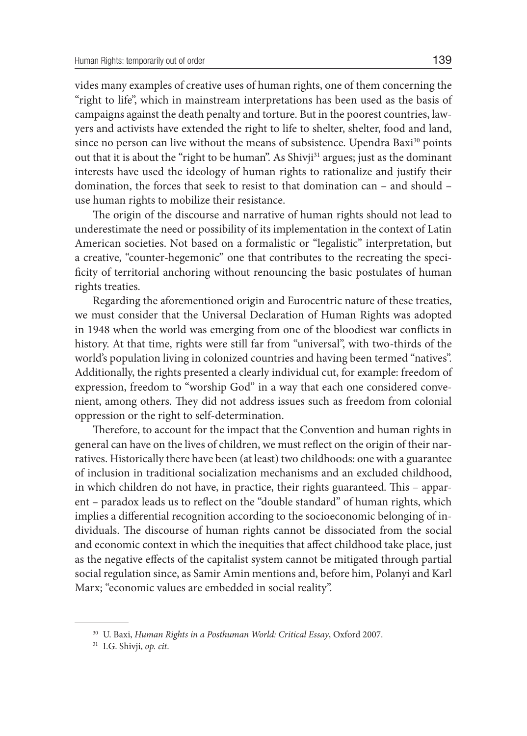vides many examples of creative uses of human rights, one of them concerning the "right to life", which in mainstream interpretations has been used as the basis of campaigns against the death penalty and torture. But in the poorest countries, lawyers and activists have extended the right to life to shelter, shelter, food and land, since no person can live without the means of subsistence. Upendra Baxi $30$  points out that it is about the "right to be human". As Shivji<sup>31</sup> argues; just as the dominant interests have used the ideology of human rights to rationalize and justify their domination, the forces that seek to resist to that domination can – and should – use human rights to mobilize their resistance.

The origin of the discourse and narrative of human rights should not lead to underestimate the need or possibility of its implementation in the context of Latin American societies. Not based on a formalistic or "legalistic" interpretation, but a creative, "counter-hegemonic" one that contributes to the recreating the specificity of territorial anchoring without renouncing the basic postulates of human rights treaties.

Regarding the aforementioned origin and Eurocentric nature of these treaties, we must consider that the Universal Declaration of Human Rights was adopted in 1948 when the world was emerging from one of the bloodiest war conflicts in history. At that time, rights were still far from "universal", with two-thirds of the world's population living in colonized countries and having been termed "natives". Additionally, the rights presented a clearly individual cut, for example: freedom of expression, freedom to "worship God" in a way that each one considered convenient, among others. They did not address issues such as freedom from colonial oppression or the right to self-determination.

Therefore, to account for the impact that the Convention and human rights in general can have on the lives of children, we must reflect on the origin of their narratives. Historically there have been (at least) two childhoods: one with a guarantee of inclusion in traditional socialization mechanisms and an excluded childhood, in which children do not have, in practice, their rights guaranteed. This – apparent – paradox leads us to reflect on the "double standard" of human rights, which implies a differential recognition according to the socioeconomic belonging of individuals. The discourse of human rights cannot be dissociated from the social and economic context in which the inequities that affect childhood take place, just as the negative effects of the capitalist system cannot be mitigated through partial social regulation since, as Samir Amin mentions and, before him, Polanyi and Karl Marx; "economic values are embedded in social reality".

<sup>30</sup> U. Baxi, *Human Rights in a Posthuman World: Critical Essay*, Oxford 2007.

<sup>31</sup> I.G. Shivji, *op. cit*.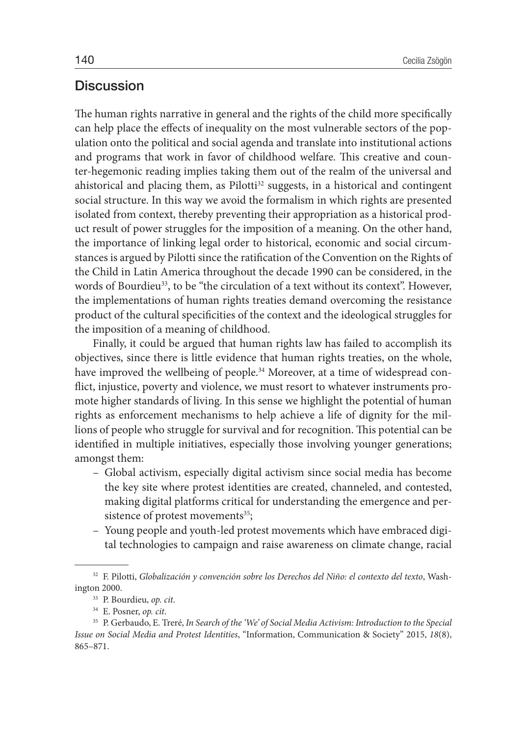#### **Discussion**

The human rights narrative in general and the rights of the child more specifically can help place the effects of inequality on the most vulnerable sectors of the population onto the political and social agenda and translate into institutional actions and programs that work in favor of childhood welfare. This creative and counter-hegemonic reading implies taking them out of the realm of the universal and ahistorical and placing them, as Pilotti<sup>32</sup> suggests, in a historical and contingent social structure. In this way we avoid the formalism in which rights are presented isolated from context, thereby preventing their appropriation as a historical product result of power struggles for the imposition of a meaning. On the other hand, the importance of linking legal order to historical, economic and social circumstances is argued by Pilotti since the ratification of the Convention on the Rights of the Child in Latin America throughout the decade 1990 can be considered, in the words of Bourdieu<sup>33</sup>, to be "the circulation of a text without its context". However, the implementations of human rights treaties demand overcoming the resistance product of the cultural specificities of the context and the ideological struggles for the imposition of a meaning of childhood.

Finally, it could be argued that human rights law has failed to accomplish its objectives, since there is little evidence that human rights treaties, on the whole, have improved the wellbeing of people.<sup>34</sup> Moreover, at a time of widespread conflict, injustice, poverty and violence, we must resort to whatever instruments promote higher standards of living. In this sense we highlight the potential of human rights as enforcement mechanisms to help achieve a life of dignity for the millions of people who struggle for survival and for recognition. This potential can be identified in multiple initiatives, especially those involving younger generations; amongst them:

- Global activism, especially digital activism since social media has become the key site where protest identities are created, channeled, and contested, making digital platforms critical for understanding the emergence and persistence of protest movements $35$ ;
- Young people and youth-led protest movements which have embraced digital technologies to campaign and raise awareness on climate change, racial

<sup>&</sup>lt;sup>32</sup> F. Pilotti, *Globalización y convención sobre los Derechos del Niño: el contexto del texto*, Washington 2000.

<sup>33</sup> P. Bourdieu, *op. cit*.

<sup>&</sup>lt;sup>35</sup> P. Gerbaudo, E. Treré, *In Search of the 'We' of Social Media Activism: Introduction to the Special Issue on Social Media and Protest Identities*, "Information, Communication & Society" 2015, *18*(8), 865–871.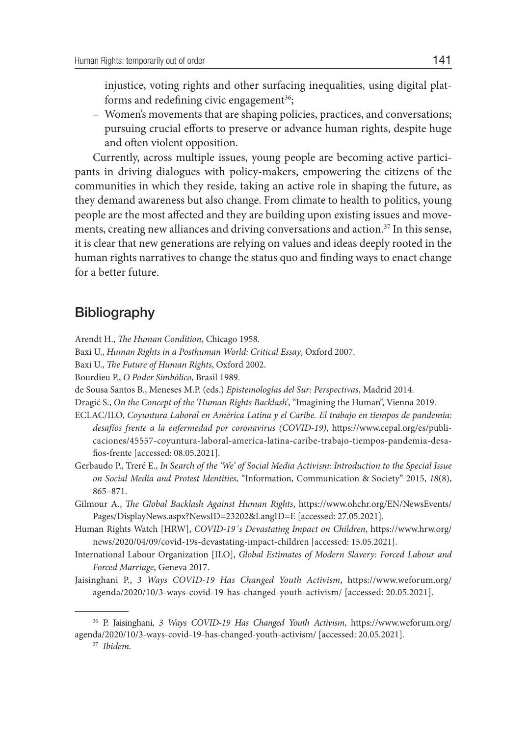injustice, voting rights and other surfacing inequalities, using digital platforms and redefining civic engagement<sup>36</sup>;

– Women's movements that are shaping policies, practices, and conversations; pursuing crucial efforts to preserve or advance human rights, despite huge and often violent opposition.

Currently, across multiple issues, young people are becoming active participants in driving dialogues with policy-makers, empowering the citizens of the communities in which they reside, taking an active role in shaping the future, as they demand awareness but also change. From climate to health to politics, young people are the most affected and they are building upon existing issues and movements, creating new alliances and driving conversations and action.<sup>37</sup> In this sense, it is clear that new generations are relying on values and ideas deeply rooted in the human rights narratives to change the status quo and finding ways to enact change for a better future.

## **Bibliography**

Arendt H., *The Human Condition*, Chicago 1958.

Baxi U., *Human Rights in a Posthuman World: Critical Essay*, Oxford 2007.

Baxi U., *The Future of Human Rights*, Oxford 2002.

Bourdieu P., *O Poder Simbólico*, Brasil 1989.

de Sousa Santos B., Meneses M.P. (eds.) *Epistemologías del Sur: Perspectivas*, Madrid 2014.

Dragić S., *On the Concept of the 'Human Rights Backlash'*, "Imagining the Human", Vienna 2019.

- ECLAC/ILO, *Coyuntura Laboral en América Latina y el Caribe. El trabajo en tiempos de pandemia: desafíos frente a la enfermedad por coronavirus (COVID-19)*, https://www.cepal.org/es/publicaciones/45557-coyuntura-laboral-america-latina-caribe-trabajo-tiempos-pandemia-desafios-frente [accessed: 08.05.2021].
- Gerbaudo P., Treré E., *In Search of the 'We' of Social Media Activism: Introduction to the Special Issue on Social Media and Protest Identities*, "Information, Communication & Society" 2015, *18*(8), 865–871.
- Gilmour A., *The Global Backlash Against Human Rights*, https://www.ohchr.org/EN/NewsEvents/ Pages/DisplayNews.aspx?NewsID=23202&LangID=E [accessed: 27.05.2021].
- Human Rights Watch [HRW], *COVID-19´s Devastating Impact on Children*, https://www.hrw.org/ news/2020/04/09/covid-19s-devastating-impact-children [accessed: 15.05.2021].
- International Labour Organization [ILO], *Global Estimates of Modern Slavery: Forced Labour and Forced Marriage*, Geneva 2017.
- Jaisinghani P., *3 Ways COVID-19 Has Changed Youth Activism*, https://www.weforum.org/ agenda/2020/10/3-ways-covid-19-has-changed-youth-activism/ [accessed: 20.05.2021].

<sup>37</sup> *Ibidem*.

<sup>36</sup> P. Jaisinghani, *3 Ways COVID-19 Has Changed Youth Activism*, https://www.weforum.org/ agenda/2020/10/3-ways-covid-19-has-changed-youth-activism/ [accessed: 20.05.2021].